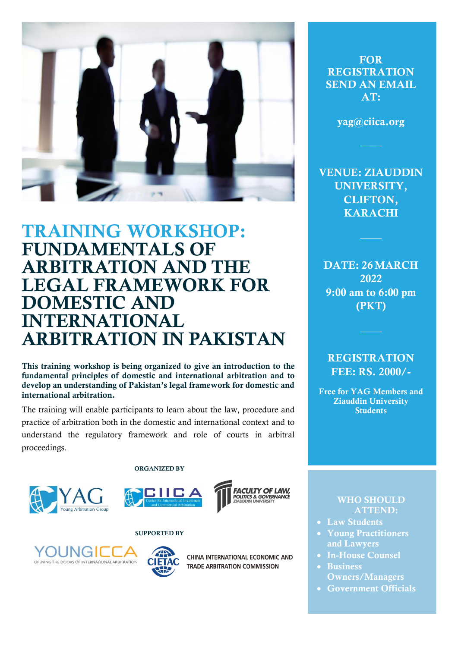

# TRAINING WORKSHOP: FUNDAMENTALS OF ARBITRATION AND THE LEGAL FRAMEWORK FOR DOMESTIC AND INTERNATIONAL ARBITRATION IN PAKISTAN

This training workshop is being organized to give an introduction to the fundamental principles of domestic and international arbitration and to develop an understanding of Pakistan's legal framework for domestic and international arbitration.

The training will enable participants to learn about the law, procedure and practice of arbitration both in the domestic and international context and to understand the regulatory framework and role of courts in arbitral proceedings.

ORGANIZED BY







SUPPORTED BY





CHINA INTERNATIONAL ECONOMIC AND **TRADE ARBITRATION COMMISSION** 

**FOR** REGISTRATION SEND AN EMAIL AT:

yag@ciica.org

VENUE: ZIAUDDIN UNIVERSITY, CLIFTON, KARACHI

DATE: 26 MARCH 2022 9:00 am to 6:00 pm (PKT)

## **REGISTRATION** FEE: RS. 2000/-

Free for YAG Members and Ziauddin University **Students** 

### WHO SHOULD ATTEND:

- Law Students
- Young Practitioners and Lawyers
- In-House Counsel
- Business Owners/Managers
- Government Officials